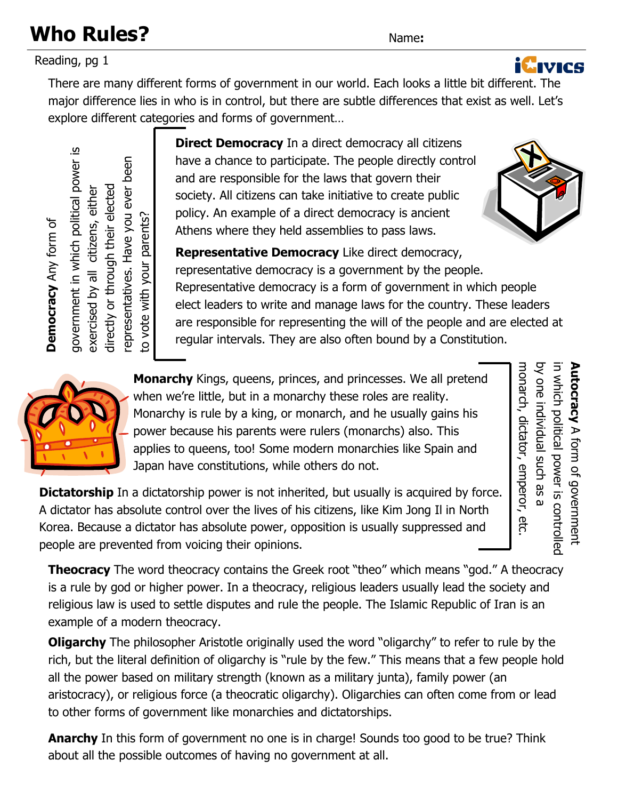### **Who Rules?** Name:

Reading, pg 1

There are many different forms of government in our world. Each looks a little bit different. The major difference lies in who is in control, but there are subtle differences that exist as well. Let's

explore different categories and forms of government…

**Direct Democracy** In a direct democracy all citizens have a chance to participate. The people directly control and are responsible for the laws that govern their society. All citizens can take initiative to create public policy. An example of a direct democracy is ancient Athens where they held assemblies to pass laws.

**Representative Democracy** Like direct democracy, representative democracy is a government by the people. Representative democracy is a form of government in which people elect leaders to write and manage laws for the country. These leaders are responsible for representing the will of the people and are elected at regular intervals. They are also often bound by a Constitution.

**Monarchy** Kings, queens, princes, and princesses. We all pretend when we're little, but in a monarchy these roles are reality. Monarchy is rule by a king, or monarch, and he usually gains his power because his parents were rulers (monarchs) also. This applies to queens, too! Some modern monarchies like Spain and Japan have constitutions, while others do not.

**Dictatorship** In a dictatorship power is not inherited, but usually is acquired by force. A dictator has absolute control over the lives of his citizens, like Kim Jong Il in North Korea. Because a dictator has absolute power, opposition is usually suppressed and Better the context of the context of the society. All citizens can to particity<br>of the dealing the society. All citizens can to particit and are responsible for the society. All citizens can to particit society. All citize

**Theocracy** The word theocracy contains the Greek root "theo" which means "god." A theocracy is a rule by god or higher power. In a theocracy, religious leaders usually lead the society and religious law is used to settle disputes and rule the people. The Islamic Republic of Iran is an example of a modern theocracy.

**Oligarchy** The philosopher Aristotle originally used the word "oligarchy" to refer to rule by the rich, but the literal definition of oligarchy is "rule by the few." This means that a few people hold all the power based on military strength (known as a military junta), family power (an aristocracy), or religious force (a theocratic oligarchy). Oligarchies can often come from or lead to other forms of government like monarchies and dictatorships.

**Anarchy** In this form of government no one is in charge! Sounds too good to be true? Think about all the possible outcomes of having no government at all.







**Autocracy**

A form of government

monarch, dictator, emperor, etc.

monarch, dictator, emperor, etc

by one individual such as a

by one individual such as

in which political power is controlled

in which political power is controlled **Autocracy** A form of government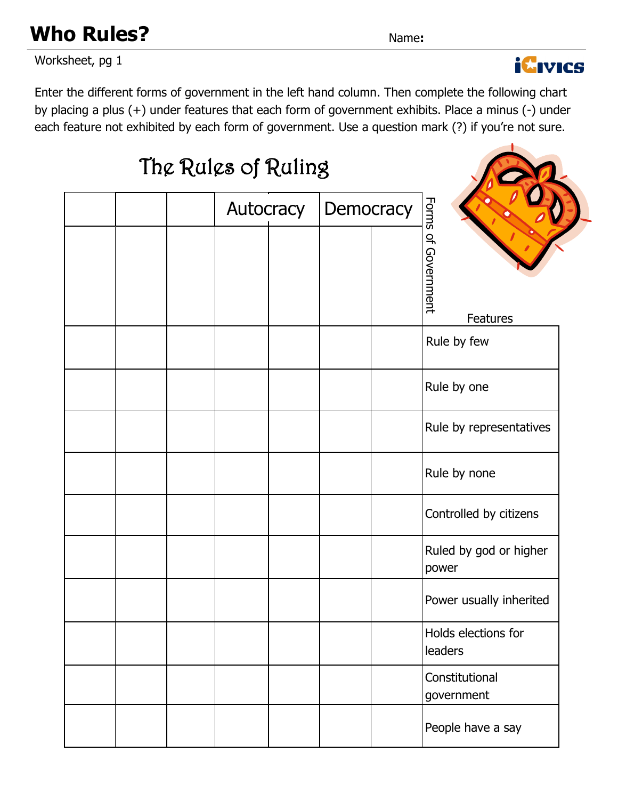Worksheet, pg 1

Enter the different forms of government in the left hand column. Then complete the following chart by placing a plus (+) under features that each form of government exhibits. Place a minus (-) under each feature not exhibited by each form of government. Use a question mark (?) if you're not sure.

# The Rules of Ruling Forms of Government Autocracy Democracy Forms of Government Features Rule by few Rule by one Rule by representatives Rule by none Controlled by citizens Ruled by god or higher power Power usually inherited Holds elections for leaders **Constitutional** government People have a say



**Who Rules?** Name: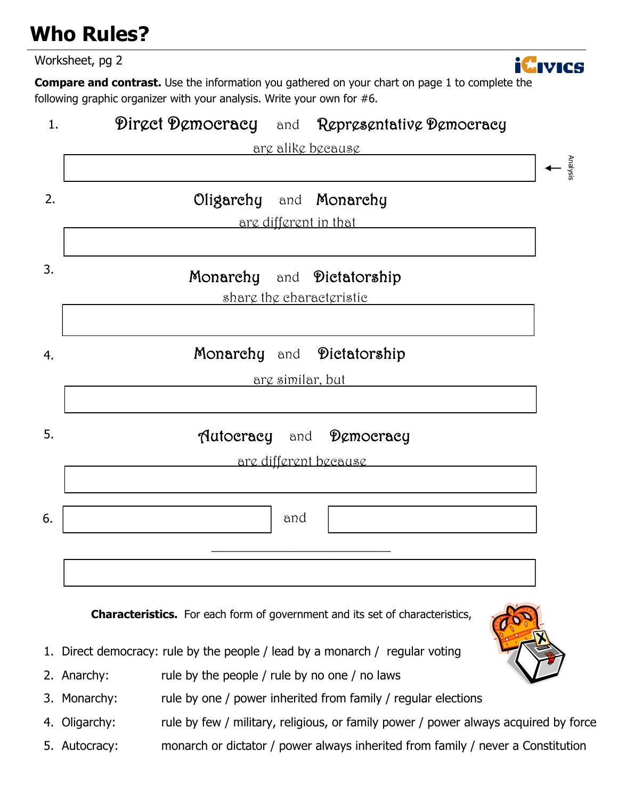### **Who Rules?**

Worksheet, pg 2



**Compare and contrast.** Use the information you gathered on your chart on page 1 to complete the following graphic organizer with your analysis. Write your own for #6.



**Characteristics.** For each form of government and its set of characteristics,

- 1. Direct democracy: rule by the people / lead by a monarch / regular voting
- 2. Anarchy: rule by the people / rule by no one / no laws
- 3. Monarchy: rule by one / power inherited from family / regular elections
- 4. Oligarchy: rule by few / military, religious, or family power / power always acquired by force
- 5. Autocracy: monarch or dictator / power always inherited from family / never a Constitution